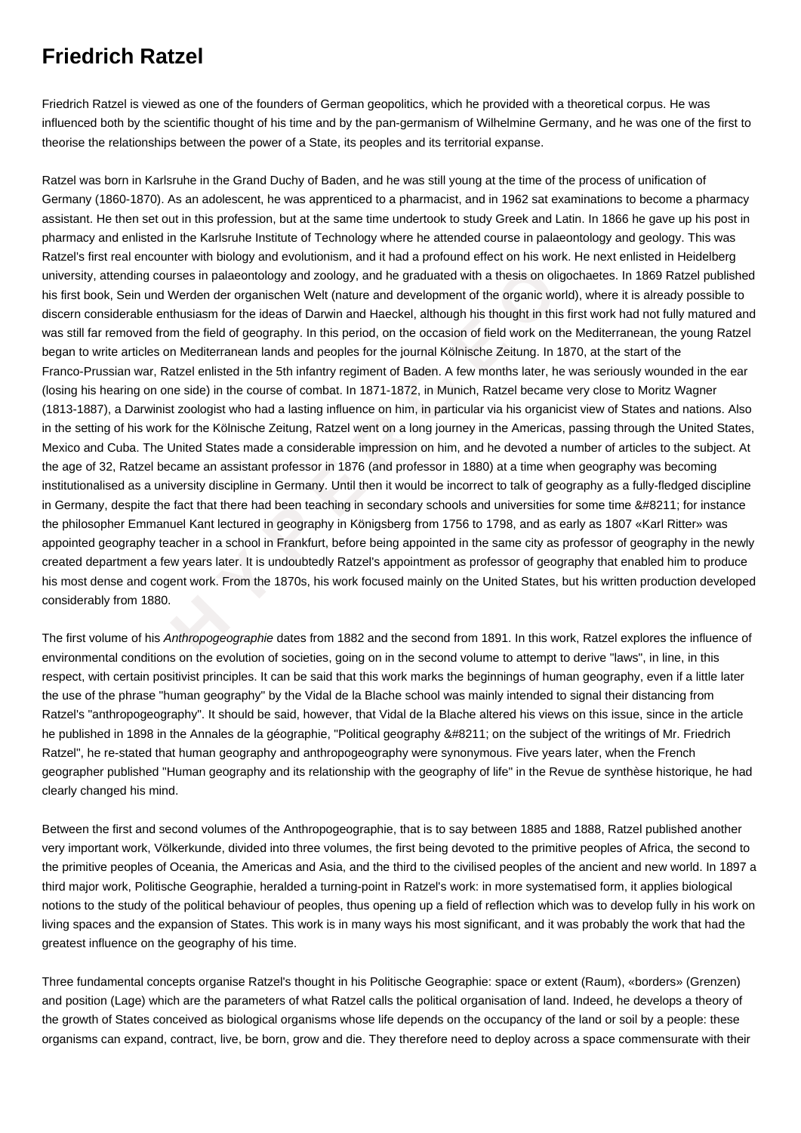## **Friedrich Ratzel**

Friedrich Ratzel is viewed as one of the founders of German geopolitics, which he provided with a theoretical corpus. He was influenced both by the scientific thought of his time and by the pan-germanism of Wilhelmine Germany, and he was one of the first to theorise the relationships between the power of a State, its peoples and its territorial expanse.

ing courses in palaeontology and zoology, and he graduated with a thesis on oligoc<br>n und Werden der organischen Welt (nature and development of the organic world)<br>able enthusiasm for the ideas of Darwin and Haeckel, althou Ratzel was born in Karlsruhe in the Grand Duchy of Baden, and he was still young at the time of the process of unification of Germany (1860-1870). As an adolescent, he was apprenticed to a pharmacist, and in 1962 sat examinations to become a pharmacy assistant. He then set out in this profession, but at the same time undertook to study Greek and Latin. In 1866 he gave up his post in pharmacy and enlisted in the Karlsruhe Institute of Technology where he attended course in palaeontology and geology. This was Ratzel's first real encounter with biology and evolutionism, and it had a profound effect on his work. He next enlisted in Heidelberg university, attending courses in palaeontology and zoology, and he graduated with a thesis on oligochaetes. In 1869 Ratzel published his first book, Sein und Werden der organischen Welt (nature and development of the organic world), where it is already possible to discern considerable enthusiasm for the ideas of Darwin and Haeckel, although his thought in this first work had not fully matured and was still far removed from the field of geography. In this period, on the occasion of field work on the Mediterranean, the young Ratzel began to write articles on Mediterranean lands and peoples for the journal Kölnische Zeitung. In 1870, at the start of the Franco-Prussian war, Ratzel enlisted in the 5th infantry regiment of Baden. A few months later, he was seriously wounded in the ear (losing his hearing on one side) in the course of combat. In 1871-1872, in Munich, Ratzel became very close to Moritz Wagner (1813-1887), a Darwinist zoologist who had a lasting influence on him, in particular via his organicist view of States and nations. Also in the setting of his work for the Kölnische Zeitung, Ratzel went on a long journey in the Americas, passing through the United States, Mexico and Cuba. The United States made a considerable impression on him, and he devoted a number of articles to the subject. At the age of 32, Ratzel became an assistant professor in 1876 (and professor in 1880) at a time when geography was becoming institutionalised as a university discipline in Germany. Until then it would be incorrect to talk of geography as a fully-fledged discipline in Germany, despite the fact that there had been teaching in secondary schools and universities for some time – for instance the philosopher Emmanuel Kant lectured in geography in Königsberg from 1756 to 1798, and as early as 1807 «Karl Ritter» was appointed geography teacher in a school in Frankfurt, before being appointed in the same city as professor of geography in the newly created department a few years later. It is undoubtedly Ratzel's appointment as professor of geography that enabled him to produce his most dense and cogent work. From the 1870s, his work focused mainly on the United States, but his written production developed considerably from 1880.

The first volume of his Anthropogeographie dates from 1882 and the second from 1891. In this work, Ratzel explores the influence of environmental conditions on the evolution of societies, going on in the second volume to attempt to derive "laws", in line, in this respect, with certain positivist principles. It can be said that this work marks the beginnings of human geography, even if a little later the use of the phrase "human geography" by the Vidal de la Blache school was mainly intended to signal their distancing from Ratzel's "anthropogeography". It should be said, however, that Vidal de la Blache altered his views on this issue, since in the article he published in 1898 in the Annales de la géographie, "Political geography – on the subject of the writings of Mr. Friedrich Ratzel", he re-stated that human geography and anthropogeography were synonymous. Five years later, when the French geographer published "Human geography and its relationship with the geography of life" in the Revue de synthèse historique, he had clearly changed his mind.

Between the first and second volumes of the Anthropogeographie, that is to say between 1885 and 1888, Ratzel published another very important work, Völkerkunde, divided into three volumes, the first being devoted to the primitive peoples of Africa, the second to the primitive peoples of Oceania, the Americas and Asia, and the third to the civilised peoples of the ancient and new world. In 1897 a third major work, Politische Geographie, heralded a turning-point in Ratzel's work: in more systematised form, it applies biological notions to the study of the political behaviour of peoples, thus opening up a field of reflection which was to develop fully in his work on living spaces and the expansion of States. This work is in many ways his most significant, and it was probably the work that had the greatest influence on the geography of his time.

Three fundamental concepts organise Ratzel's thought in his Politische Geographie: space or extent (Raum), «borders» (Grenzen) and position (Lage) which are the parameters of what Ratzel calls the political organisation of land. Indeed, he develops a theory of the growth of States conceived as biological organisms whose life depends on the occupancy of the land or soil by a people: these organisms can expand, contract, live, be born, grow and die. They therefore need to deploy across a space commensurate with their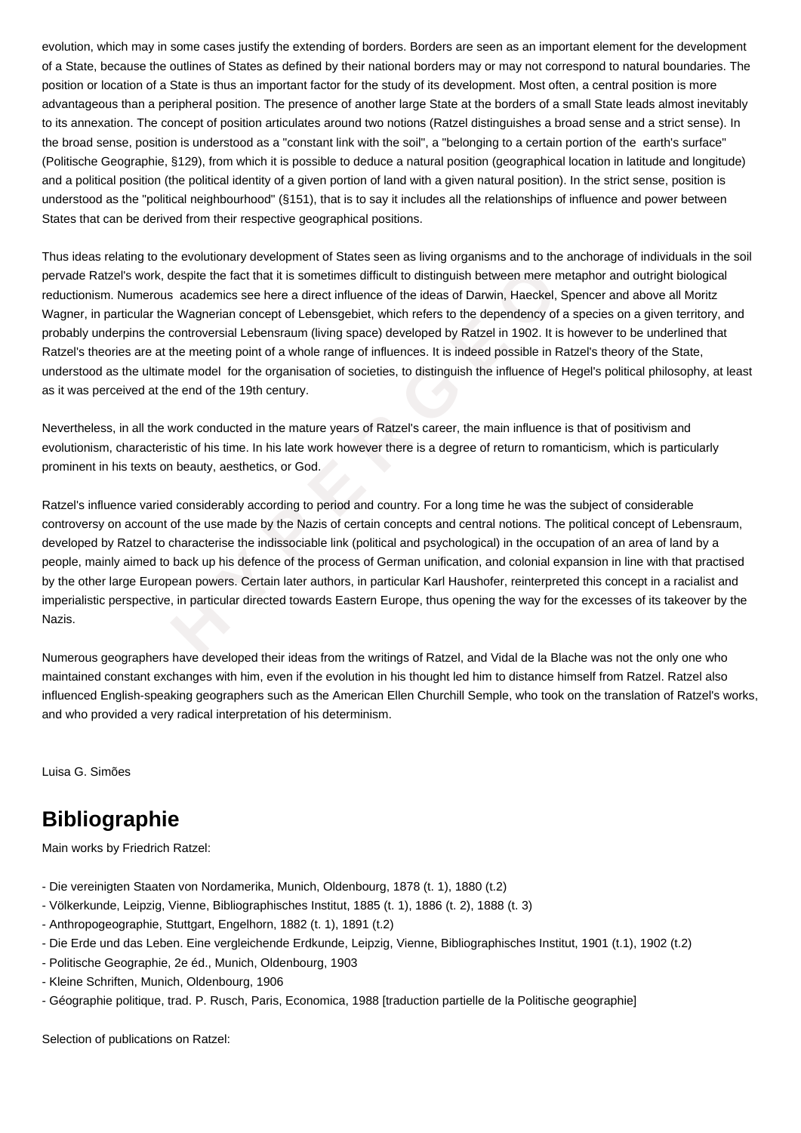evolution, which may in some cases justify the extending of borders. Borders are seen as an important element for the development of a State, because the outlines of States as defined by their national borders may or may not correspond to natural boundaries. The position or location of a State is thus an important factor for the study of its development. Most often, a central position is more advantageous than a peripheral position. The presence of another large State at the borders of a small State leads almost inevitably to its annexation. The concept of position articulates around two notions (Ratzel distinguishes a broad sense and a strict sense). In the broad sense, position is understood as a "constant link with the soil", a "belonging to a certain portion of the earth's surface" (Politische Geographie, §129), from which it is possible to deduce a natural position (geographical location in latitude and longitude) and a political position (the political identity of a given portion of land with a given natural position). In the strict sense, position is understood as the "political neighbourhood" (§151), that is to say it includes all the relationships of influence and power between States that can be derived from their respective geographical positions.

work, despite the fact that it is sometimes difficult to distinguish between mere meta<br>merous academics see here a direct influence of the ideas of Darwin, Haeckel, Spe<br>ular the Wagnerian concept of Lebensgebiet, which ref Thus ideas relating to the evolutionary development of States seen as living organisms and to the anchorage of individuals in the soil pervade Ratzel's work, despite the fact that it is sometimes difficult to distinguish between mere metaphor and outright biological reductionism. Numerous academics see here a direct influence of the ideas of Darwin, Haeckel, Spencer and above all Moritz Wagner, in particular the Wagnerian concept of Lebensgebiet, which refers to the dependency of a species on a given territory, and probably underpins the controversial Lebensraum (living space) developed by Ratzel in 1902. It is however to be underlined that Ratzel's theories are at the meeting point of a whole range of influences. It is indeed possible in Ratzel's theory of the State, understood as the ultimate model for the organisation of societies, to distinguish the influence of Hegel's political philosophy, at least as it was perceived at the end of the 19th century.

Nevertheless, in all the work conducted in the mature years of Ratzel's career, the main influence is that of positivism and evolutionism, characteristic of his time. In his late work however there is a degree of return to romanticism, which is particularly prominent in his texts on beauty, aesthetics, or God.

Ratzel's influence varied considerably according to period and country. For a long time he was the subject of considerable controversy on account of the use made by the Nazis of certain concepts and central notions. The political concept of Lebensraum, developed by Ratzel to characterise the indissociable link (political and psychological) in the occupation of an area of land by a people, mainly aimed to back up his defence of the process of German unification, and colonial expansion in line with that practised by the other large European powers. Certain later authors, in particular Karl Haushofer, reinterpreted this concept in a racialist and imperialistic perspective, in particular directed towards Eastern Europe, thus opening the way for the excesses of its takeover by the Nazis.

Numerous geographers have developed their ideas from the writings of Ratzel, and Vidal de la Blache was not the only one who maintained constant exchanges with him, even if the evolution in his thought led him to distance himself from Ratzel. Ratzel also influenced English-speaking geographers such as the American Ellen Churchill Semple, who took on the translation of Ratzel's works, and who provided a very radical interpretation of his determinism.

Luisa G. Simões

## **Bibliographie**

Main works by Friedrich Ratzel:

- Die vereinigten Staaten von Nordamerika, Munich, Oldenbourg, 1878 (t. 1), 1880 (t.2)
- Völkerkunde, Leipzig, Vienne, Bibliographisches Institut, 1885 (t. 1), 1886 (t. 2), 1888 (t. 3)
- Anthropogeographie, Stuttgart, Engelhorn, 1882 (t. 1), 1891 (t.2)
- Die Erde und das Leben. Eine vergleichende Erdkunde, Leipzig, Vienne, Bibliographisches Institut, 1901 (t.1), 1902 (t.2)
- Politische Geographie, 2e éd., Munich, Oldenbourg, 1903
- Kleine Schriften, Munich, Oldenbourg, 1906
- Géographie politique, trad. P. Rusch, Paris, Economica, 1988 [traduction partielle de la Politische geographie]

Selection of publications on Ratzel: